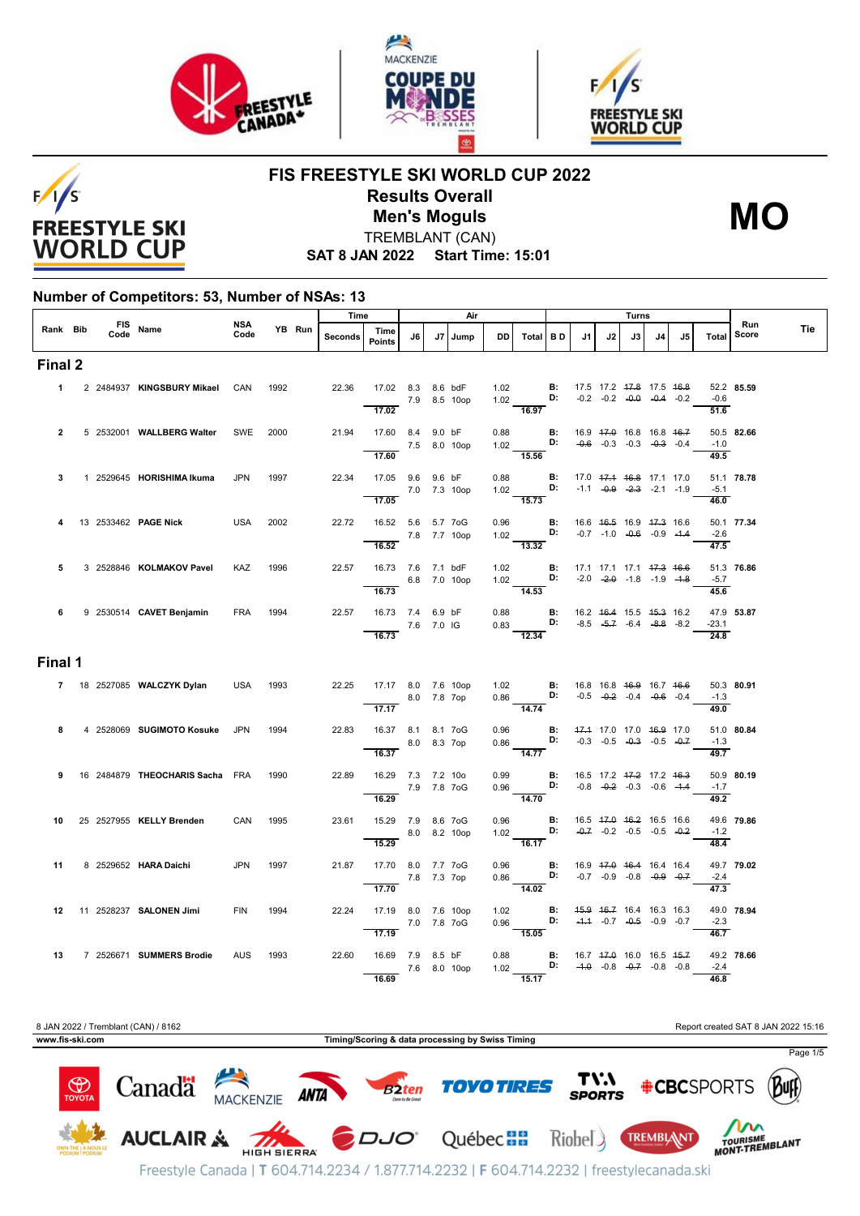





# $F/1/S$ **FREESTYLE SKI WORLD CUP**

#### **FIS FREESTYLE SKI WORLD CUP 2022 Results Overall** TREMBLANT (CAN) **Men's Moguls MO**



**SAT 8 JAN 2022 Start Time: 15:01**

#### **Number of Competitors: 53, Number of NSAs: 13**

|                |  |                  |                                        | <b>NSA</b> |      |        | Time    |                                                               |             |      | Air          |    |                                                                                                                                               |    |    |                                                                                             | Turns |    |                                      | Run        |     |
|----------------|--|------------------|----------------------------------------|------------|------|--------|---------|---------------------------------------------------------------|-------------|------|--------------|----|-----------------------------------------------------------------------------------------------------------------------------------------------|----|----|---------------------------------------------------------------------------------------------|-------|----|--------------------------------------|------------|-----|
| Rank Bib       |  | FIS Name<br>Code |                                        | Code       |      | YB Run | Seconds | Time<br><b>Points</b>                                         | J6          | J7 I | Jump         | DD | Total BD                                                                                                                                      | J1 | J2 | J3                                                                                          | J4    | J5 | Total                                | Score      | Tie |
| Final 2        |  |                  |                                        |            |      |        |         |                                                               |             |      |              |    |                                                                                                                                               |    |    |                                                                                             |       |    |                                      |            |     |
|                |  |                  | 1 2 2484937 KINGSBURY Mikael CAN       |            | 1992 |        | 22.36   | 17.02 8.3 8.6 bdF<br>7.9 8.5 10op<br>17.02                    |             |      |              |    | 1.02 <b>B</b> : 17.5 17.2 <del>17.8</del> 17.5 <del>16.8</del><br>1.02 <b>D:</b> -0.2 -0.2 - <del>0.0</del> -0.4 -0.2<br>$\frac{1.52}{16.97}$ |    |    | $-0.2$ $-0.2$ $-0.0$ $-0.4$ $-0.2$                                                          |       |    | $-0.6$<br>51.6                       | 52.2 85.59 |     |
| $\overline{2}$ |  |                  | 5 2532001 WALLBERG Walter              | SWE        | 2000 |        | 21.94   | 17.60 8.4 9.0 bF<br>7.5 8.0 10op                              |             |      |              |    | 0.88 <b>B:</b><br>1.02 <b>D:</b><br>15.56                                                                                                     |    |    | 16.9 <del>17.0</del> 16.8 16.8 <del>16.7</del><br>$-0.6$ $-0.3$ $-0.3$ $-0.3$ $-0.3$ $-0.4$ |       |    | $-1.0$                               | 50.5 82.66 |     |
| 3              |  |                  | 1 2529645 HORISHIMA Ikuma              | <b>JPN</b> | 1997 |        | 22.34   | 17.60<br>17.05 9.6 9.6 bF<br>7.0 7.3 10op                     |             |      |              |    | 0.88 <b>B:</b><br>1.02 <b>D:</b>                                                                                                              |    |    | 17.0 47.4 46.8 17.1 17.0<br>$-1.1$ $-0.9$ $-2.3$ $-2.1$ $-1.9$                              |       |    | $\overline{49.5}$<br>$-5.1$          | 51.1 78.78 |     |
|                |  |                  | 13 2533462 <b>PAGE Nick</b>            | USA        | 2002 |        | 22.72   | 17.05<br>16.52  5.6  5.7  7oG<br>$- 7.8$ 7.7 10op             |             |      |              |    | 15.73<br>0.96 <b>B:</b> 16.6 46.5 16.9 47.3 16.6<br>1.02 <b>D:</b> -0.7 -1.0 -0.6 -0.9 -1.4                                                   |    |    |                                                                                             |       |    | 46.0<br>$-2.6$                       | 50.1 77.34 |     |
| 5              |  |                  | 3 2528846 KOLMAKOV Pavel               | KAZ        | 1996 |        | 22.57   | 16.52<br>16.73 7.6 7.1 bdF<br>6.8 7.0 10op                    |             |      |              |    | 13.32<br>1.02 <b>B:</b><br>1.02 <b>D:</b><br>14.53                                                                                            |    |    | 17.1 17.1 17.1 17.3 16.6<br>$-2.0$ $-2.0$ $-1.8$ $-1.9$ $-4.8$                              |       |    | 47.5<br>$-5.7$                       | 51.3 76.86 |     |
| 6              |  |                  | 9 2530514 CAVET Benjamin               | <b>FRA</b> | 1994 |        | 22.57   | 16.73<br>16.73 7.4 6.9 bF<br>7.6 7.0 IG<br>16.73              |             |      |              |    | 0.88 <b>B</b> : $16.2$ $16.4$ $15.5$ $15.3$ $16.2$<br>0.83 <b>D:</b> $-8.5$ $-5.7$ $-6.4$ $-8.8$ $-8.2$<br>$\overline{12.34}$                 |    |    |                                                                                             |       |    | 45.6<br>$-23.1$<br>$\overline{24.8}$ | 47.9 53.87 |     |
| Final 1        |  |                  |                                        |            |      |        |         |                                                               |             |      |              |    |                                                                                                                                               |    |    |                                                                                             |       |    |                                      |            |     |
|                |  |                  | 7 18 2527085 WALCZYK Dylan             | <b>USA</b> | 1993 |        |         | 22.25 17.17 8.0 7.6 10op<br>8.0 7.8 7op<br>$\overline{17.17}$ |             |      |              |    | 1.02 <b>B:</b> 16.8 16.8 <del>16.9</del> 16.7 <del>16.6</del><br>0.86 <b>D:</b> -0.5 -0.2 -0.4 -0.6 -0.4<br>$\frac{1}{14.74}$                 |    |    |                                                                                             |       |    | $-1.3$<br>49.0                       | 50.3 80.91 |     |
| 8              |  |                  | 4 2528069 SUGIMOTO Kosuke JPN          |            | 1994 |        | 22.83   | 16.37 8.1 8.1 7oG<br>16.37                                    | 8.0 8.3 7op |      |              |    | 0.96 <b>B:</b><br>0.86 <b>D:</b><br>$\frac{1}{14.77}$                                                                                         |    |    | 47.4 17.0 17.0 46.9 17.0<br>$-0.3$ $-0.5$ $-0.3$ $-0.5$ $-0.7$                              |       |    | $-1.3$<br>$\frac{1}{49.7}$           | 51.0 80.84 |     |
| 9              |  |                  | 16 2484879 <b>THEOCHARIS Sacha</b> FRA |            | 1990 |        | 22.89   | 16.29 7.3 7.2 10o<br>7.9 7.8 7oG<br>16.29                     |             |      |              |    | 0.99 B: 16.5 17.2 47.2 17.2 46.3<br>0.96 D: $-0.8$ $-0.2$ $-0.3$ $-0.6$ $-1.4$<br>$\frac{1}{14.70}$                                           |    |    |                                                                                             |       |    | $-1.7$<br>49.2                       | 50.9 80.19 |     |
| 10             |  |                  | 25 2527955 KELLY Brenden               | CAN        | 1995 |        | 23.61   | 15.29 7.9 8.6 7oG<br>15.29                                    |             |      | 8.0 8.2 10op |    | 0.96 <b>B:</b><br>1.02 <b>D:</b><br>16.17                                                                                                     |    |    | 16.5 47.0 46.2 16.5 16.6<br>$-0.7$ $-0.2$ $-0.5$ $-0.5$ $-0.2$                              |       |    | $-1.2$<br>48.4                       | 49.6 79.86 |     |
| 11             |  |                  | 8 2529652 HARA Daichi                  | JPN        | 1997 |        | 21.87   | 17.70 8.0 7.7 7oG<br>7.8 7.3 7op                              |             |      |              |    | 0.96 <b>B</b> : 16.9 <del>17.0</del> 16.4 16.4 16.4<br>0.86 <b>D:</b> -0.7 -0.9 -0.8 -0. <del>9</del> -0.7                                    |    |    |                                                                                             |       |    | $-2.4$                               | 49.7 79.02 |     |
|                |  |                  | 12 11 2528237 SALONEN Jimi             | <b>FIN</b> | 1994 |        | 22.24   | 17.70<br>17.19 8.0 7.6 10op<br>7.0 7.8 7oG                    |             |      |              |    | 14.02<br>1.02 <b>B:</b><br>0.96 <b>D:</b>                                                                                                     |    |    | 45.9 46.7 16.4 16.3 16.3<br>$-4.4$ $-0.7$ $-0.5$ $-0.9$ $-0.7$                              |       |    | $\overline{47.3}$<br>$-2.3$          | 49.0 78.94 |     |
| 13             |  |                  | 7 2526671 SUMMERS Brodie               | AUS 1993   |      |        | 22.60   | 17.19<br>16.69 7.9 8.5 bF<br>16.69                            |             |      | 7.6 8.0 10op |    | 15.05<br>0.88 <b>B</b> : 16.7 47.0 16.0 16.5 45.7<br>1.02 <b>D:</b> -4.0 -0.8 -0.7 -0.8 -0.8<br>$\frac{1}{15.17}$                             |    |    |                                                                                             |       |    | $\frac{1}{46.7}$<br>$-2.4$<br>46.8   | 49.2 78.66 |     |

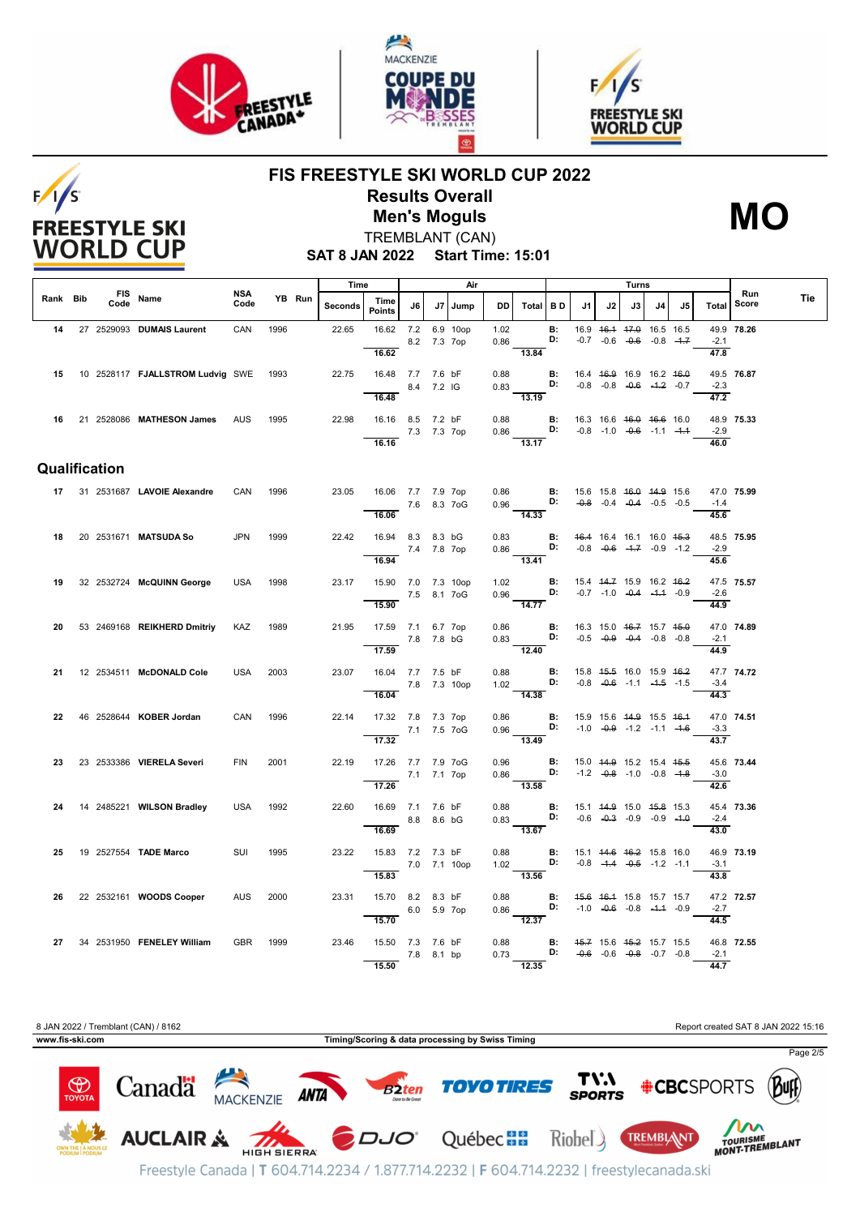

**FREESTYLE SKI WORLD CUP** 





### **FIS FREESTYLE SKI WORLD CUP 2022 Results Overall Men's Moguls MO**



**SAT 8 JAN 2022 Start Time: 15:01** TREMBLANT (CAN)

|          |               |                                              |                    |      |        | Time    |                                                       |              |             | Air          |              |                                                                                                                       |                 |                                    |    | Turns                                                                  |    |                                    |                             |              |     |
|----------|---------------|----------------------------------------------|--------------------|------|--------|---------|-------------------------------------------------------|--------------|-------------|--------------|--------------|-----------------------------------------------------------------------------------------------------------------------|-----------------|------------------------------------|----|------------------------------------------------------------------------|----|------------------------------------|-----------------------------|--------------|-----|
| Rank Bib | Code          | FIS Name                                     | <b>NSA</b><br>Code |      | YB Run | Seconds | Time<br><b>Points</b>                                 | J6           |             | J7   Jump    |              | DD   Total   B D                                                                                                      |                 | J1                                 | J2 | J3                                                                     | J4 | J5                                 | Total                       | Run<br>Score | Tie |
| 14       |               | 27 2529093 DUMAIS Laurent                    | CAN                | 1996 |        | 22.65   | 16.62 7.2 6.9 10op                                    | 8.2 7.3 7op  |             |              | 1.02<br>0.86 |                                                                                                                       | <b>B:</b><br>D: |                                    |    | 16.9   46.4   47.0   16.5   16.5<br>$-0.7$ $-0.6$ $-0.6$ $-0.8$ $-4.7$ |    |                                    | $-2.1$                      | 49.9 78.26   |     |
|          |               | 15  10  2528117  FJALLSTROM Ludvig SWE  1993 |                    |      |        | 22.75   | 16.62<br>16.48 7.7 7.6 bF                             |              |             |              | 0.88         | $\overline{13.84}$                                                                                                    | <b>B:</b>       | 16.4 46.9 16.9 16.2 46.0           |    |                                                                        |    |                                    | 47.8                        | 49.5 76.87   |     |
|          |               |                                              |                    |      |        |         | 16.48                                                 | 8.4 7.2 IG   |             |              |              | $0.83$ D:<br>13.19                                                                                                    |                 |                                    |    | $-0.8$ $-0.8$ $-0.6$ $-4.2$ $-0.7$                                     |    |                                    | $-2.3$<br>$\frac{47.2}{ }$  |              |     |
|          |               | 16 21 2528086 MATHESON James                 | <b>AUS</b>         | 1995 |        | 22.98   | 16.16 8.5 7.2 bF<br>7.3 7.3 7op                       |              |             |              |              | 0.88 <b>B:</b><br>0.86 <b>D:</b>                                                                                      |                 |                                    |    | 16.3 16.6 <del>16.0</del> 16.6 16.0                                    |    | $-0.8$ $-1.0$ $-0.6$ $-1.1$ $-1.4$ | $-2.9$                      | 48.9 75.33   |     |
|          |               |                                              |                    |      |        |         | 16.16                                                 |              |             |              |              | $\overline{13.17}$                                                                                                    |                 |                                    |    |                                                                        |    |                                    | 46.0                        |              |     |
|          | Qualification |                                              |                    |      |        |         |                                                       |              |             |              |              |                                                                                                                       |                 |                                    |    |                                                                        |    |                                    |                             |              |     |
|          |               | 17 31 2531687 LAVOIE Alexandre               | CAN                | 1996 |        | 23.05   | 16.06 7.7 7.9 7op                                     | 7.6 8.3 7 oG |             |              |              | 0.86 <b>B</b> : 15.6 15.8 <del>16.0</del> 14.9 15.6<br>0.96 <b>D:</b> -0.8 -0.4 -0.4 -0.5 -0.5                        |                 |                                    |    |                                                                        |    |                                    | $-1.4$                      | 47.0 75.99   |     |
|          |               |                                              |                    |      |        |         | 16.06                                                 |              |             |              |              | 14.33                                                                                                                 |                 |                                    |    |                                                                        |    |                                    | 45.6                        |              |     |
| 18       |               | 20 2531671 MATSUDA So                        | <b>JPN</b>         | 1999 |        | 22.42   | 16.94 8.3 8.3 bG<br>7.4 7.8 7op<br>16.94              |              |             |              |              | 0.83 <b>B:</b> 46.4 16.4 16.1 16.0 4 <del>5.3</del><br>0.86 <b>D:</b> -0.8 -0.6 -1.7 -0.9 -1.2<br>$\overline{13.41}$  |                 |                                    |    |                                                                        |    |                                    | $-2.9$<br>45.6              | 48.5 75.95   |     |
| 19       |               | 32 2532724 McQUINN George                    | <b>USA</b>         | 1998 |        | 23.17   | 15.90 7.0 7.3 10op                                    |              |             |              |              | 1.02 <b>B:</b> 15.4 44.7 15.9 16.2 46.2<br>0.96 <b>D:</b> -0.7 -1.0 -0.4 -1.4 -0.9                                    |                 |                                    |    |                                                                        |    |                                    |                             | 47.5 75.57   |     |
|          |               |                                              |                    |      |        |         | 15.90                                                 | 7.5 8.1 7oG  |             |              |              | $\frac{1}{14.77}$                                                                                                     |                 |                                    |    |                                                                        |    |                                    | $-2.6$<br>$\frac{44.9}{ }$  |              |     |
| 20       |               | 53 2469168 REIKHERD Dmitriy                  | <b>KAZ</b>         | 1989 |        | 21.95   | 17.59 7.1 6.7 7op<br>7.8 7.8 bG<br>$\overline{17.59}$ |              |             |              |              | 0.86 <b>B:</b> 16.3 15.0 46.7 15.7 45.0 0.83 <b>D:</b> $-0.5$ $-0.9$ $-0.4$ $-0.8$ $-0.8$<br>12.40                    |                 |                                    |    |                                                                        |    |                                    | $-2.1$<br>44.9              | 47.0 74.89   |     |
| 21       |               | 12 2534511 McDONALD Cole                     | <b>USA</b>         | 2003 |        | 23.07   | 16.04 7.7 7.5 bF                                      |              |             |              | 0.88         | $1.02$ D:                                                                                                             |                 | <b>B:</b> 15.8 45.5 16.0 15.9 46.2 |    |                                                                        |    |                                    |                             | 47.7 74.72   |     |
|          |               |                                              |                    |      |        |         | 16.04                                                 | 7.8 7.3 10op |             |              |              | 14.38                                                                                                                 |                 |                                    |    | $-0.8$ $-0.6$ $-1.1$ $-4.5$ $-1.5$                                     |    |                                    | $-3.4$<br>44.3              |              |     |
| 22       |               | 46 2528644 KOBER Jordan                      | CAN                | 1996 |        | 22.14   | 17.32 7.8 7.3 7op<br>7.1 7.5 7 og                     |              |             |              | 0.86         | 0.96 <b>D:</b> $-1.0$ - $-0.9$ - $1.2$ - $-1.1$ - $-1.6$<br>0.96 <b>D:</b> $-1.0$ - $-0.9$ - $-1.2$ - $-1.1$ - $-1.6$ |                 | <b>B:</b> 15.9 15.6 44.9 15.5 46.4 |    |                                                                        |    |                                    | $-3.3$                      | 47.0 74.51   |     |
|          |               |                                              |                    |      |        |         | 17.32                                                 |              |             |              |              | $\frac{12.6}{13.49}$                                                                                                  |                 |                                    |    |                                                                        |    |                                    | 43.7                        |              |     |
| 23       |               | 23 2533386 VIERELA Severi                    | <b>FIN</b>         | 2001 |        | 22.19   | 17.26 7.7 7.9 7oG<br>7.1 7.1 7op<br>17.26             |              |             |              | 0.96         | $0.86$ D:<br>13.58                                                                                                    | B:              |                                    |    | 15.0 44.9 15.2 15.4 45.5<br>$-1.2$ $-0.8$ $-1.0$ $-0.8$ $-1.8$         |    |                                    | $-3.0$<br>$\overline{42.6}$ | 45.6 73.44   |     |
| 24       |               | 14 2485221 WILSON Bradley                    | <b>USA</b>         | 1992 |        | 22.60   | 16.69 7.1 7.6 bF                                      |              |             |              | 0.88         | $0.83$ D:                                                                                                             | B:              | 15.1 44.9 15.0 45.8 15.3           |    |                                                                        |    |                                    |                             | 45.4 73.36   |     |
|          |               |                                              |                    |      |        |         | 8.8 8.6 bG<br>16.69                                   |              |             |              |              | $-13.67$                                                                                                              |                 |                                    |    | $-0.6$ $-0.3$ $-0.9$ $-0.9$ $-1.0$                                     |    |                                    | $-2.4$<br>43.0              |              |     |
| 25       |               | 19 2527554 TADE Marco                        | SUI                | 1995 |        | 23.22   | 15.83 7.2 7.3 bF                                      |              |             | 7.0 7.1 10op | 0.88         | $\overline{\mathbf{B}}$<br>$1.02$ D:                                                                                  |                 | 15.1 44.6 46.2 15.8 16.0           |    | $-0.8$ $-4.4$ $-0.5$ $-1.2$ $-1.1$                                     |    |                                    | $-3.1$                      | 46.9 73.19   |     |
|          |               |                                              |                    |      |        |         | 15.83                                                 |              |             |              |              | $-13.56$                                                                                                              |                 |                                    |    |                                                                        |    |                                    | 43.8                        |              |     |
| 26       |               | 22 2532161 WOODS Cooper                      | <b>AUS</b>         | 2000 |        | 23.31   | 15.70 8.2 8.3 bF<br>15.70                             |              | 6.0 5.9 7op |              |              | 0.88 <b>B</b> : 4 <del>5.6</del> 46.4 15.8 15.7 15.7<br>0.86 <b>D:</b> -1.0 -0.6 -0.8 -1.4 -0.9<br>$-12.37$           |                 |                                    |    |                                                                        |    |                                    | $-2.7$<br>44.5              | 47.2 72.57   |     |
| 27       |               | 34 2531950 FENELEY William                   | <b>GBR</b>         | 1999 |        | 23.46   | 15.50 7.3 7.6 bF                                      |              |             |              | 0.88         |                                                                                                                       |                 | <b>B:</b> 45.7 15.6 45.2 15.7 15.5 |    |                                                                        |    |                                    | $-2.1$                      | 46.8 72.55   |     |
|          |               |                                              |                    |      |        |         | 15.50                                                 |              | 7.8 8.1 bp  |              |              | $\overline{12.35}$                                                                                                    |                 |                                    |    |                                                                        |    |                                    | $\frac{44.7}{ }$            |              |     |

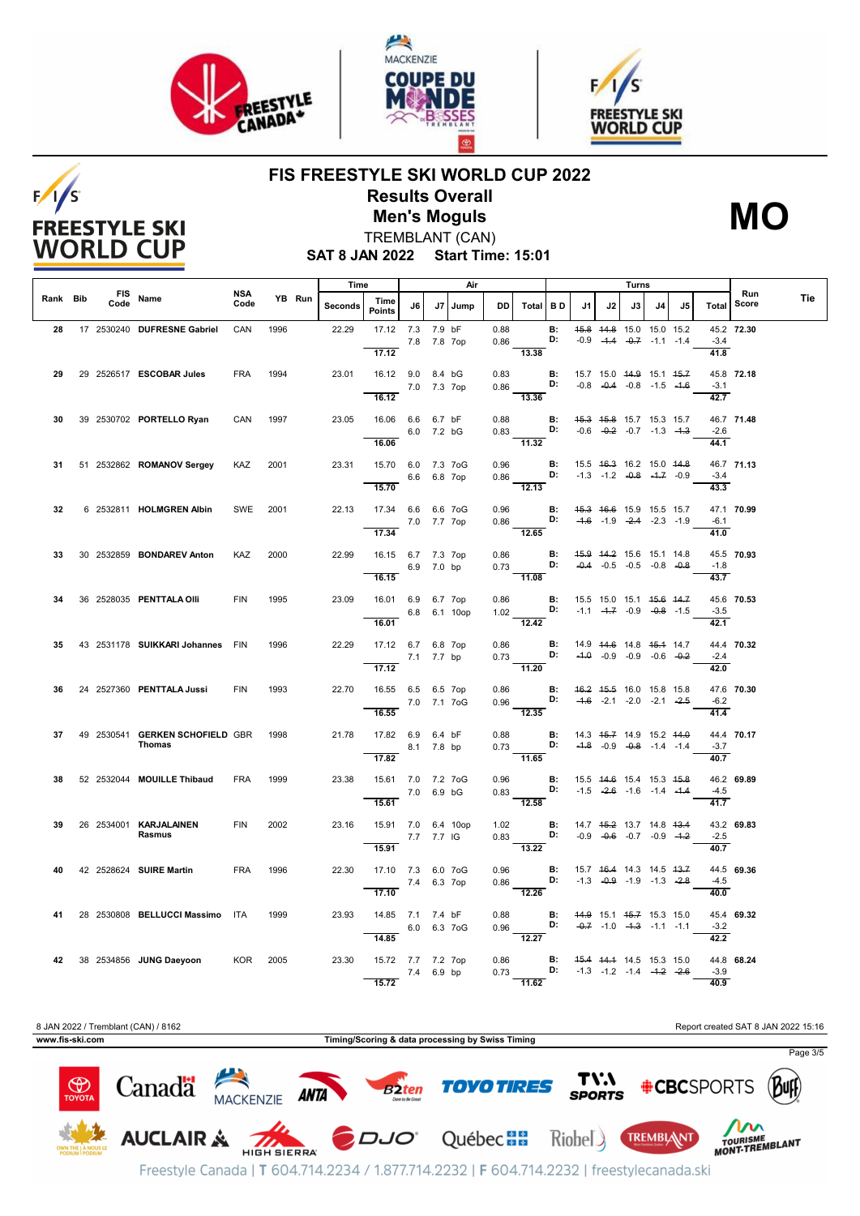

**FREESTYLE SKI WORLD CUP** 





### **FIS FREESTYLE SKI WORLD CUP 2022 Results Overall Men's Moguls MO**



**SAT 8 JAN 2022 Start Time: 15:01** TREMBLANT (CAN)

|          |      |                                           |                    |      |        | Time    |                                                      | Air         |        |      | Turns        |                                                                                                                     |           |                                        |    |                                                                |    |    |                              |              |     |
|----------|------|-------------------------------------------|--------------------|------|--------|---------|------------------------------------------------------|-------------|--------|------|--------------|---------------------------------------------------------------------------------------------------------------------|-----------|----------------------------------------|----|----------------------------------------------------------------|----|----|------------------------------|--------------|-----|
| Rank Bib | Code | FIS Name                                  | <b>NSA</b><br>Code |      | YB Run | Seconds | Time<br><b>Points</b>                                | J6 I        | J7     | Jump | DD I         | Total BD                                                                                                            |           | J1                                     | J2 | J3 I                                                           | J4 | J5 | <b>Total</b>                 | Run<br>Score | Tie |
| 28       |      | 17 2530240 DUFRESNE Gabriel               | CAN                | 1996 |        | 22.29   | 17.12 7.3<br>17.12                                   | 7.8 7.8 7op | 7.9 bF |      | 0.88<br>0.86 | D:<br>13.38                                                                                                         | <b>B:</b> |                                        |    | 45.8 44.8 15.0 15.0 15.2<br>$-0.9$ $-4.4$ $-0.7$ $-1.1$ $-1.4$ |    |    | $-3.4$<br>41.8               | 45.2 72.30   |     |
| 29       |      | 29 2526517 ESCOBAR Jules                  | <b>FRA</b>         | 1994 |        | 23.01   | 16.12 9.0 8.4 bG<br>16.12                            | 7.0 7.3 7op |        |      | 0.83         | 0.86 <b>D:</b> $-0.8$ -0.4 -0.8 -1.5 -1.6 -1.6 -1.6 -1.6<br>13.36                                                   |           | <b>B:</b> 15.7 15.0 44.9 15.1 45.7     |    |                                                                |    |    | $-3.1$<br>42.7               | 45.8 72.18   |     |
| 30       |      | 39 2530702 PORTELLO Ryan                  | CAN                | 1997 |        | 23.05   | 16.06 6.6 6.7 bF                                     | 6.0 7.2 bG  |        |      | 0.88         | $0.83$ D:                                                                                                           |           | <b>B:</b> 45.3 45.8 15.7 15.3 15.7     |    | $-0.6$ $-0.2$ $-0.7$ $-1.3$ $-4.3$                             |    |    | $-2.6$                       | 46.7 71.48   |     |
| 31       |      | 51 2532862 ROMANOV Sergey                 | <b>KAZ</b>         | 2001 |        | 23.31   | 16.06<br>15.70 6.0 7.3 7oG<br>6.6 6.8 7op            |             |        |      | 0.96         | $\overline{11.32}$<br>$0.86$ D: $-1.3$ $-1.2$ $-0.8$ $-1.7$ $-0.9$                                                  | B:        |                                        |    | 15.5 46.3 16.2 15.0 44.8                                       |    |    | 44.1<br>$-3.4$               | 46.7 71.13   |     |
| 32       |      | 6 2532811 HOLMGREN Albin                  | SWE                | 2001 |        | 22.13   | 15.70<br>17.34 6.6 6.6 7oG                           | 7.0 7.7 7op |        |      | 0.96         | $\overline{12.13}$<br>0.86 <b>D:</b> $-4.6$ -1.9 $-2.4$ -2.3 -1.9                                                   |           | <b>B:</b> 45.3 46.6 15.9 15.5 15.7     |    |                                                                |    |    | 43.3<br>$-6.1$               | 47.1 70.99   |     |
| 33       |      | 30 2532859 BONDAREV Anton                 | KAZ                | 2000 |        | 22.99   | 17.34<br>16.15 6.7 7.3 7op                           |             |        |      |              | $\frac{1}{12.65}$<br>0.86 <b>B:</b> 4 <del>5.9</del> 44.2 15.6 15.1 14.8<br>0.73 <b>D:</b> -0.4 -0.5 -0.5 -0.8 -0.8 |           |                                        |    |                                                                |    |    | 41.0                         | 45.5 70.93   |     |
| 34       |      | 36 2528035 PENTTALA OIII                  | <b>FIN</b>         | 1995 |        | 23.09   | 16.15<br>16.01 6.9 6.7 7op                           | 6.9 7.0 bp  |        |      |              | $rac{3.16}{11.08}$                                                                                                  |           |                                        |    | $-0.4$ $-0.5$ $-0.5$ $-0.8$ $-0.8$                             |    |    | $-1.8$<br>43.7               | 45.6 70.53   |     |
|          |      |                                           |                    |      |        |         | 6.8 6.1 10op<br>16.01                                |             |        |      |              | 0.86 <b>B:</b> 15.5 15.0 15.1 4 <del>5.6 14.7</del><br>1.02 <b>D:</b> -1.1 -4.7 -0.9 -0.8 -1.5<br>12.42             |           |                                        |    |                                                                |    |    | $-3.5$<br>42.1               |              |     |
| 35       |      | 43 2531178 SUIKKARI Johannes FIN          |                    | 1996 |        | 22.29   | 17.12 6.7 6.8 7op<br>7.1 7.7 bp<br>17.12             |             |        |      |              | $0.86$ B:<br>0.73 D:<br>$\overline{11.20}$                                                                          |           |                                        |    | 14.9 44.6 14.8 45.4 14.7<br>$-4.0$ $-0.9$ $-0.9$ $-0.6$ $-0.2$ |    |    | $-2.4$<br>42.0               | 44.4 70.32   |     |
| 36       |      | 24 2527360 PENTTALA Jussi                 | <b>FIN</b>         | 1993 |        | 22.70   | 16.55 6.5 6.5 7op<br>7.0 7.1 7oG<br>16.55            |             |        |      | 0.86         | 0.96 <b>D:</b> $-4.6$ -2.1 -2.0 -2.1 -2.5<br>$\overline{12.35}$                                                     |           | <b>B:</b> $16.2$ $15.5$ 16.0 15.8 15.8 |    |                                                                |    |    | $-6.2$<br>$\frac{41.4}{9.6}$ | 47.6 70.30   |     |
| 37       |      | 49 2530541 GERKEN SCHOFIELD GBR<br>Thomas |                    | 1998 |        | 21.78   | 17.82 6.9 6.4 bF<br>8.1 7.8 bp<br>17.82              |             |        |      |              | 0.88 <b>B:</b> 14.3 45.7 14.9 15.2 44.0<br>$0.73$ D:<br>11.65                                                       |           |                                        |    | $-4.8$ $-0.9$ $-0.8$ $-1.4$ $-1.4$                             |    |    | $-3.7$<br>40.7               | 44.4 70.17   |     |
| 38       |      | 52 2532044 MOUILLE Thibaud                | <b>FRA</b>         | 1999 |        | 23.38   | 15.61 7.0 7.2 7oG<br>15.61                           | 7.0 6.9 bG  |        |      |              | 0.96 <b>B:</b> 15.5 44.6 15.4 15.3 45.8<br>0.83 <b>D:</b> -1.5 - <del>2.6</del> -1.6 -1.4 -4.4<br>$-12.58$          |           |                                        |    |                                                                |    |    | $-4.5$<br>41.7               | 46.2 69.89   |     |
| 39       |      | 26 2534001 KARJALAINEN<br>Rasmus          | <b>FIN</b>         | 2002 |        | 23.16   | 15.91 7.0 6.4 10op<br>7.7 7.7 IG<br>15.91            |             |        |      |              | 1.02 <b>B:</b> 14.7 45.2 13.7 14.8 43.4<br>0.83 <b>D:</b> -0.9 -0.6 -0.7 -0.9 -4.2<br>$\overline{13.22}$            |           |                                        |    |                                                                |    |    | $-2.5$<br>40.7               | 43.2 69.83   |     |
| 40       |      | 42 2528624 SUIRE Martin                   | <b>FRA</b>         | 1996 |        | 22.30   | 17.10 7.3 6.0 7oG<br>17.10                           | 7.4 6.3 7op |        |      | 0.96         | $0.86$ D:<br>$\overline{12.26}$                                                                                     | B:        |                                        |    | 15.7 46.4 14.3 14.5 43.7<br>$-1.3$ $-0.9$ $-1.9$ $-1.3$ $-2.8$ |    |    | $-4.5$<br>40.0               | 44.5 69.36   |     |
| 41       |      | 28 2530808 BELLUCCI Massimo ITA           |                    | 1999 |        | 23.93   | 14.85 7.1 7.4 bF<br>$6.0\quad 6.3\quad 70G$<br>14.85 |             |        |      | 0.88         | $0.96$ D: $-0.7$ -1.0 $-1.3$ -1.1 -1.1<br>$\overline{12.27}$                                                        | B:        | 44.9 15.1 45.7 15.3 15.0               |    |                                                                |    |    | $-3.2$<br>42.2               | 45.4 69.32   |     |
|          |      | 42 38 2534856 JUNG Daeyoon KOR 2005       |                    |      |        | 23.30   | 15.72 7.7 7.2 7op<br>15.72                           | 7.4 6.9 bp  |        |      |              | 0.86 <b>B:</b> 4 <del>5.4 14.1</del> 14.5 15.3 15.0<br>0.73 <b>D:</b> -1.3 -1.2 -1.4 - <del>1.2</del> -2.6<br>11.62 |           |                                        |    |                                                                |    |    | $-3.9$<br>40.9               | 44.8 68.24   |     |



Freestyle Canada | T 604.714.2234 / 1.877.714.2232 | F 604.714.2232 | freestylecanada.ski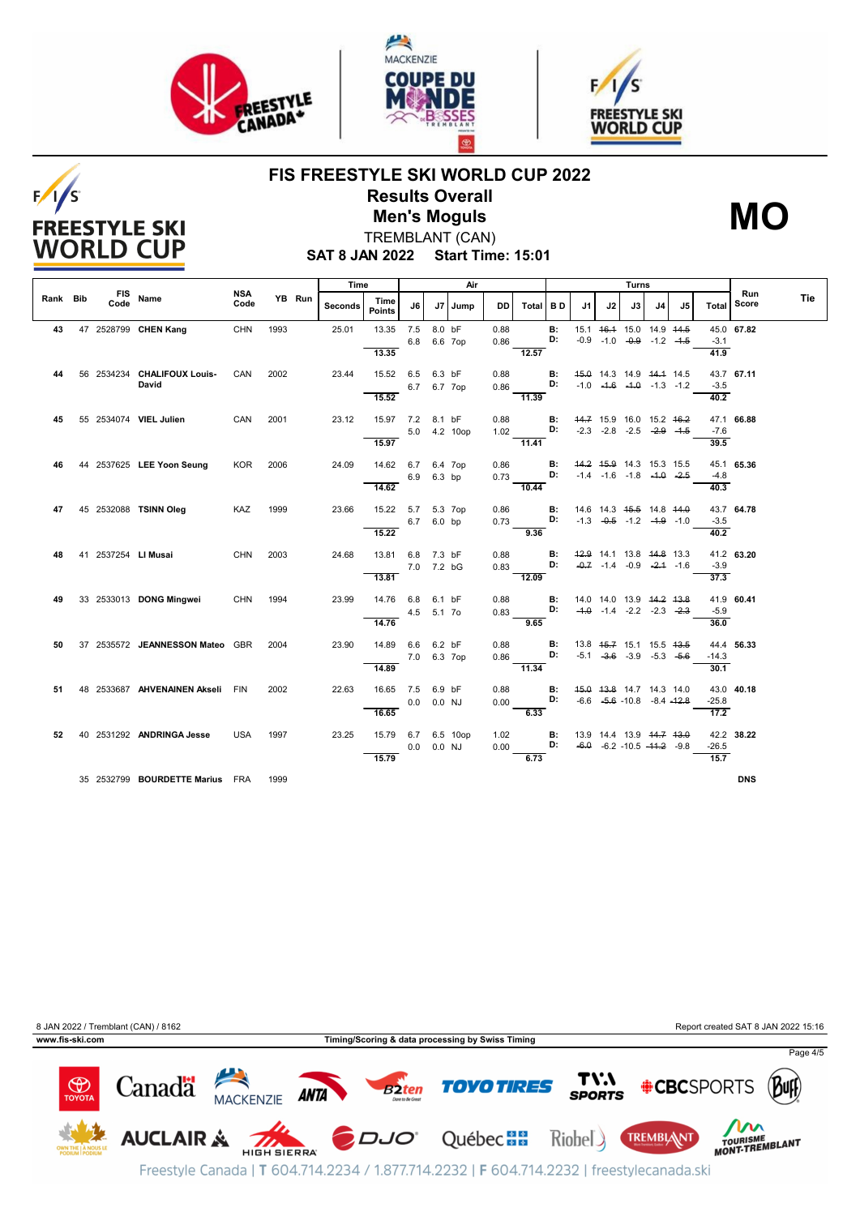

**FREESTYLE SKI WORLD CUP** 





### **FIS FREESTYLE SKI WORLD CUP 2022 Results Overall Men's Moguls MO**



**SAT 8 JAN 2022 Start Time: 15:01** TREMBLANT (CAN)

|          |  |                                  |                    |      |        | Time    |                       | Air            |         | Turns        |      |          |           |    |              |                                                |    |    |                  |              |     |
|----------|--|----------------------------------|--------------------|------|--------|---------|-----------------------|----------------|---------|--------------|------|----------|-----------|----|--------------|------------------------------------------------|----|----|------------------|--------------|-----|
| Rank Bib |  | FIS Name                         | <b>NSA</b><br>Code |      | YB Run | Seconds | Time<br><b>Points</b> | J6             |         | J7 Jump      | DD   | Total BD |           | J1 | J2           | J3                                             | J4 | J5 | <b>Total</b>     | Run<br>Score | Tie |
| 43       |  | 47 2528799 CHEN Kang             | CHN                | 1993 |        | 25.01   | 13.35 7.5             |                | 8.0 bF  |              | 0.88 |          | <b>B:</b> |    |              | 15.1 46.4 15.0 14.9 44.5                       |    |    |                  | 45.0 67.82   |     |
|          |  |                                  |                    |      |        |         |                       | 6.8            | 6.6 7op |              | 0.86 |          | D:        |    | $-0.9 - 1.0$ | $-0.9 - 1.2 - 1.5$                             |    |    | $-3.1$           |              |     |
|          |  |                                  |                    |      |        |         | 13.35                 |                |         |              |      | 12.57    |           |    |              |                                                |    |    | 41.9             |              |     |
| 44       |  | 56 2534234 CHALIFOUX Louis-      | CAN                | 2002 |        | 23.44   | 15.52                 | 6.5            | 6.3 bF  |              | 0.88 |          | В:        |    |              | 45.0 14.3 14.9 44.4 14.5                       |    |    |                  | 43.7 67.11   |     |
|          |  | David                            |                    |      |        |         |                       | 6.7            |         | 6.7 7op      | 0.86 |          | D:        |    |              | $-1.0$ $-4.6$ $-4.0$ $-1.3$ $-1.2$             |    |    | $-3.5$           |              |     |
|          |  |                                  |                    |      |        |         | 15.52                 |                |         |              |      | 11.39    |           |    |              |                                                |    |    | 40.2             |              |     |
| 45       |  | 55 2534074 VIEL Julien           | CAN                | 2001 |        | 23.12   | 15.97 7.2 8.1 bF      |                |         |              | 0.88 |          | B:        |    |              | 44.7 15.9 16.0 15.2 <del>16.2</del>            |    |    |                  | 47.1 66.88   |     |
|          |  |                                  |                    |      |        |         |                       |                |         | 5.0 4.2 10op | 1.02 |          | D:        |    |              | $-2.3$ $-2.8$ $-2.5$ $-2.9$ $-4.5$             |    |    | $-7.6$           |              |     |
|          |  |                                  |                    |      |        |         | 15.97                 |                |         |              |      | 11.41    |           |    |              |                                                |    |    | 39.5             |              |     |
| 46       |  | 44 2537625 LEE Yoon Seung        | KOR                | 2006 |        | 24.09   | 14.62 6.7 6.4 7op     |                |         |              | 0.86 |          | B:        |    |              | 44.2 45.9 14.3 15.3 15.5                       |    |    |                  | 45.1 65.36   |     |
|          |  |                                  |                    |      |        |         |                       | 6.9            | 6.3 bp  |              | 0.73 |          | D:        |    |              | $-1.4$ $-1.6$ $-1.8$ $-4.0$ $-2.5$             |    |    | $-4.8$           |              |     |
|          |  |                                  |                    |      |        |         | 14.62                 |                |         |              |      | 10.44    |           |    |              |                                                |    |    | 40.3             |              |     |
| 47       |  | 45 2532088 TSINN Oleg            | KAZ                | 1999 |        | 23.66   | 15.22 5.7 5.3 7op     |                |         |              | 0.86 |          | <b>B:</b> |    |              | 14.6 14.3 <del>15.5</del> 14.8 <del>14.0</del> |    |    |                  | 43.7 64.78   |     |
|          |  |                                  |                    |      |        |         |                       | 6.7 6.0 bp     |         |              | 0.73 |          | D:        |    |              | $-1.3$ $-0.5$ $-1.2$ $-1.9$ $-1.0$             |    |    | $-3.5$           |              |     |
|          |  |                                  |                    |      |        |         | 15.22                 |                |         |              |      | 9.36     |           |    |              |                                                |    |    | 40.2             |              |     |
| 48       |  | 41 2537254 LI Musai              | CHN                | 2003 |        | 24.68   | 13.81                 | 6.8            | 7.3 bF  |              | 0.88 |          | <b>B:</b> |    |              | 42.9 14.1 13.8 44.8 13.3                       |    |    |                  | 41.2 63.20   |     |
|          |  |                                  |                    |      |        |         |                       | 7.0 7.2 bG     |         |              | 0.83 |          | D:        |    |              | $-0.7$ $-1.4$ $-0.9$ $-2.4$ $-1.6$             |    |    | $-3.9$           |              |     |
|          |  |                                  |                    |      |        |         | 13.81                 |                |         |              |      | 12.09    |           |    |              |                                                |    |    | 37.3             |              |     |
| 49       |  | 33 2533013 DONG Mingwei          | CHN 1994           |      |        | 23.99   | 14.76 6.8             |                | 6.1 bF  |              | 0.88 |          | в:        |    |              | 14.0 14.0 13.9 44.2 43.8                       |    |    |                  | 41.9 60.41   |     |
|          |  |                                  |                    |      |        |         |                       | 4.5            | 5.1 7o  |              | 0.83 |          | D:        |    |              | $-4.0$ $-1.4$ $-2.2$ $-2.3$ $-2.3$             |    |    | $-5.9$           |              |     |
|          |  |                                  |                    |      |        |         | 14.76                 |                |         |              |      | 9.65     |           |    |              |                                                |    |    | 36.0             |              |     |
| 50       |  | 37 2535572 JEANNESSON Mateo GBR  |                    | 2004 |        | 23.90   | 14.89                 | 6.6            | 6.2 bF  |              | 0.88 |          | В:        |    |              | 13.8 45.7 15.1 15.5 43.5                       |    |    |                  | 44.4 56.33   |     |
|          |  |                                  |                    |      |        |         |                       | 7.0 6.3 7op    |         |              | 0.86 |          | D:        |    |              | $-5.1$ $-3.6$ $-3.9$ $-5.3$ $-5.6$             |    |    | $-14.3$          |              |     |
|          |  |                                  |                    |      |        |         | 14.89                 |                |         |              |      | 11.34    |           |    |              |                                                |    |    | 30.1             |              |     |
| 51       |  | 48 2533687 AHVENAINEN Akseli FIN |                    | 2002 |        | 22.63   | 16.65 7.5 6.9 bF      |                |         |              | 0.88 |          | <b>B:</b> |    |              | 45.0 43.8 14.7 14.3 14.0                       |    |    |                  | 43.0 40.18   |     |
|          |  |                                  |                    |      |        |         |                       | 0.0            | 0.0 NJ  |              | 0.00 |          | D:        |    |              | $-6.6$ $-5.6$ $-10.8$ $-8.4$ $-12.8$           |    |    | $-25.8$          |              |     |
|          |  |                                  |                    |      |        |         | 16.65                 |                |         |              |      | 6.33     |           |    |              |                                                |    |    | 17.2             |              |     |
| 52       |  | 40 2531292 ANDRINGA Jesse        | <b>USA</b>         | 1997 |        | 23.25   | 15.79                 |                |         | 6.7 6.5 10op | 1.02 |          | B:        |    |              | 13.9 14.4 13.9 <del>14.7 13.0</del>            |    |    |                  | 42.2 38.22   |     |
|          |  |                                  |                    |      |        |         |                       | $0.0$ $0.0$ NJ |         |              | 0.00 |          | D:        |    |              | $-6.0$ $-6.2$ $-10.5$ $-11.2$ $-9.8$           |    |    | $-26.5$          |              |     |
|          |  |                                  |                    |      |        |         | 15.79                 |                |         |              |      | 6.73     |           |    |              |                                                |    |    | $\frac{1}{15.7}$ |              |     |
|          |  | 35 2532799 BOURDETTE Marius FRA  |                    | 1999 |        |         |                       |                |         |              |      |          |           |    |              |                                                |    |    |                  | <b>DNS</b>   |     |